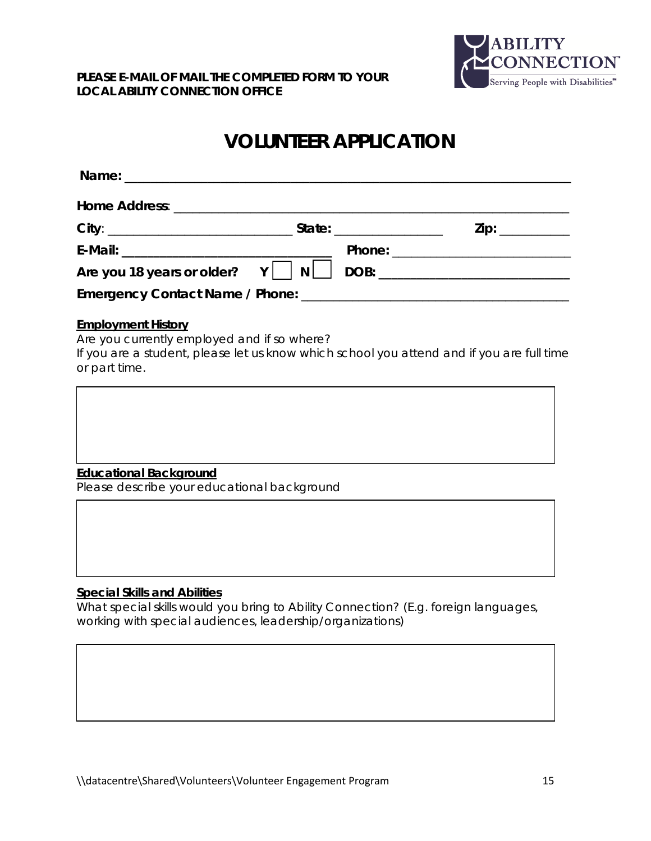

# **VOLUNTEER APPLICATION**

|  | $\mathsf{Zip:}\ \_\_\_\_\_\_\_\_\_\_\_\_\_\_\_\_\_\_\_\_\_\_\_\_\_\_$ |
|--|-----------------------------------------------------------------------|
|  |                                                                       |
|  |                                                                       |
|  |                                                                       |

## **Employment History**

Are you currently employed and if so where?

If you are a student, please let us know which school you attend and if you are full time or part time.



Please describe your educational background

## **Special Skills and Abilities**

What special skills would you bring to Ability Connection? (E.g. foreign languages, working with special audiences, leadership/organizations)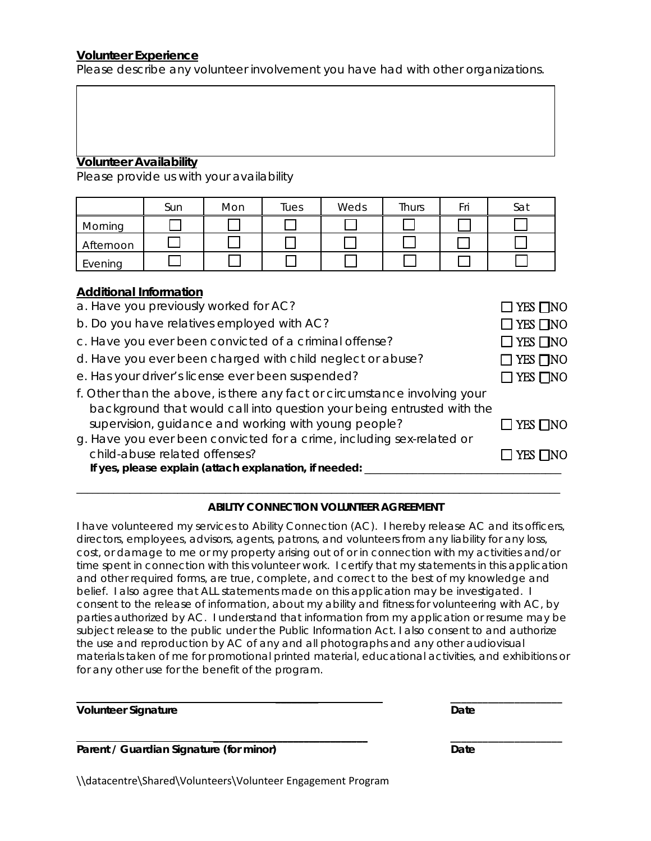### **Volunteer Experience**

Please describe any volunteer involvement you have had with other organizations.

#### **Volunteer Availability**

Please provide us with your availability

|           | Sun | Mon | Tues | Weds | Thurs | Fri | Sat |
|-----------|-----|-----|------|------|-------|-----|-----|
| Morning   |     |     |      |      |       |     |     |
| Afternoon |     |     |      |      |       |     |     |
| Evening   |     |     |      |      |       |     |     |

#### **Additional Information**

| a. Have you previously worked for AC?                                                                                                               | $\Box$ YES $\Box$ NO       |
|-----------------------------------------------------------------------------------------------------------------------------------------------------|----------------------------|
| b. Do you have relatives employed with AC?                                                                                                          | $\Box$ YES $\Box$ NO       |
| c. Have you ever been convicted of a criminal offense?                                                                                              | $\Box$ YES $\Box$ NO       |
| d. Have you ever been charged with child neglect or abuse?                                                                                          | $\square$ YES $\square$ NO |
| e. Has your driver's license ever been suspended?                                                                                                   | $\Box$ YES $\Box$ NO       |
| f. Other than the above, is there any fact or circumstance involving your<br>background that would call into question your being entrusted with the |                            |
| supervision, guidance and working with young people?                                                                                                | $\square$ YES $\square$ NO |
| g. Have you ever been convicted for a crime, including sex-related or                                                                               |                            |
| child-abuse related offenses?<br>If yes, please explain (attach explanation, if needed:                                                             | YES □NO                    |

#### **ABILITY CONNECTION VOLUNTEER AGREEMENT**

\_\_\_\_\_\_\_\_\_\_\_\_\_\_\_\_\_\_\_\_\_\_\_\_\_\_\_\_\_\_\_\_\_\_\_\_\_\_\_\_\_\_\_\_\_\_\_\_\_\_\_\_\_\_\_\_\_\_\_\_\_\_\_\_\_\_\_\_\_\_\_\_\_\_\_\_\_\_\_\_\_\_\_\_\_\_\_\_\_\_\_

I have volunteered my services to Ability Connection (AC). I hereby release AC and its officers, directors, employees, advisors, agents, patrons, and volunteers from any liability for any loss, cost, or damage to me or my property arising out of or in connection with my activities and/or time spent in connection with this volunteer work. I certify that my statements in this application and other required forms, are true, complete, and correct to the best of my knowledge and belief. I also agree that ALL statements made on this application may be investigated. I consent to the release of information, about my ability and fitness for volunteering with AC, by parties authorized by AC. I understand that information from my application or resume may be subject release to the public under the Public Information Act. I also consent to and authorize the use and reproduction by AC of any and all photographs and any other audiovisual materials taken of me for promotional printed material, educational activities, and exhibitions or for any other use for the benefit of the program.

 **\_\_\_\_\_\_\_\_ \_\_\_\_\_\_\_\_\_\_\_\_\_\_\_\_\_\_\_\_\_**

 **\_\_\_\_\_\_\_\_\_\_\_\_\_\_\_\_\_\_\_\_\_\_\_\_\_\_\_\_\_ \_\_\_\_\_\_\_\_\_\_\_\_\_\_\_\_\_\_\_\_\_**

**Volunteer Signature Contract Contract Contract Contract Contract Contract Contract Contract Contract Contract Contract Contract Contract Contract Contract Contract Contract Contract Contract Contract Contract Contract Con** 

**Parent** / Guardian Signature (for minor) Date

\\datacentre\Shared\Volunteers\Volunteer Engagement Program